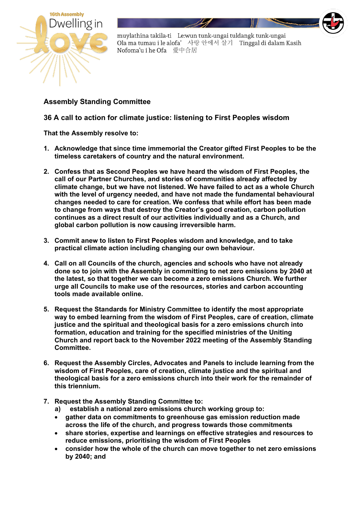

muylathina takila-ti Le:wun tunk-ungai tuldangk tunk-ungai Ola ma tumau i le alofa' 사랑 안에서 살기 Tinggal di dalam Kasih Nofoma'u i he Ofa 愛中合居

## **Assembly Standing Committee**

## **36 A call to action for climate justice: listening to First Peoples wisdom**

**That the Assembly resolve to:**

- **1. Acknowledge that since time immemorial the Creator gifted First Peoples to be the timeless caretakers of country and the natural environment.**
- **2. Confess that as Second Peoples we have heard the wisdom of First Peoples, the call of our Partner Churches, and stories of communities already affected by climate change, but we have not listened. We have failed to act as a whole Church with the level of urgency needed, and have not made the fundamental behavioural changes needed to care for creation. We confess that while effort has been made to change from ways that destroy the Creator's good creation, carbon pollution continues as a direct result of our activities individually and as a Church, and global carbon pollution is now causing irreversible harm.**
- **3. Commit anew to listen to First Peoples wisdom and knowledge, and to take practical climate action including changing our own behaviour.**
- **4. Call on all Councils of the church, agencies and schools who have not already done so to join with the Assembly in committing to net zero emissions by 2040 at the latest, so that together we can become a zero emissions Church. We further urge all Councils to make use of the resources, stories and carbon accounting tools made available online.**
- **5. Request the Standards for Ministry Committee to identify the most appropriate way to embed learning from the wisdom of First Peoples, care of creation, climate justice and the spiritual and theological basis for a zero emissions church into formation, education and training for the specified ministries of the Uniting Church and report back to the November 2022 meeting of the Assembly Standing Committee.**
- **6. Request the Assembly Circles, Advocates and Panels to include learning from the wisdom of First Peoples, care of creation, climate justice and the spiritual and theological basis for a zero emissions church into their work for the remainder of this triennium.**
- **7. Request the Assembly Standing Committee to:**
	- **a) establish a national zero emissions church working group to:**
	- **gather data on commitments to greenhouse gas emission reduction made across the life of the church, and progress towards those commitments**
	- **share stories, expertise and learnings on effective strategies and resources to reduce emissions, prioritising the wisdom of First Peoples**
	- **consider how the whole of the church can move together to net zero emissions by 2040; and**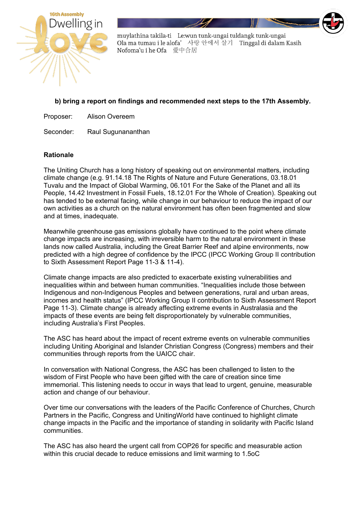

muylathina takila-ti Le:wun tunk-ungai tuldangk tunk-ungai Ola ma tumau i le alofa' 사랑 안에서 살기 Tinggal di dalam Kasih Nofoma'u i he Ofa 愛中合居

## **b) bring a report on findings and recommended next steps to the 17th Assembly.**

Proposer: Alison Overeem

Seconder: Raul Sugunananthan

## **Rationale**

The Uniting Church has a long history of speaking out on environmental matters, including climate change (e.g. 91.14.18 The Rights of Nature and Future Generations, 03.18.01 Tuvalu and the Impact of Global Warming, 06.101 For the Sake of the Planet and all its People, 14.42 Investment in Fossil Fuels, 18.12.01 For the Whole of Creation). Speaking out has tended to be external facing, while change in our behaviour to reduce the impact of our own activities as a church on the natural environment has often been fragmented and slow and at times, inadequate.

Meanwhile greenhouse gas emissions globally have continued to the point where climate change impacts are increasing, with irreversible harm to the natural environment in these lands now called Australia, including the Great Barrier Reef and alpine environments, now predicted with a high degree of confidence by the IPCC (IPCC Working Group II contribution to Sixth Assessment Report Page 11-3 & 11-4).

Climate change impacts are also predicted to exacerbate existing vulnerabilities and inequalities within and between human communities. "Inequalities include those between Indigenous and non-Indigenous Peoples and between generations, rural and urban areas, incomes and health status" (IPCC Working Group II contribution to Sixth Assessment Report Page 11-3). Climate change is already affecting extreme events in Australasia and the impacts of these events are being felt disproportionately by vulnerable communities, including Australia's First Peoples.

The ASC has heard about the impact of recent extreme events on vulnerable communities including Uniting Aboriginal and Islander Christian Congress (Congress) members and their communities through reports from the UAICC chair.

In conversation with National Congress, the ASC has been challenged to listen to the wisdom of First People who have been gifted with the care of creation since time immemorial. This listening needs to occur in ways that lead to urgent, genuine, measurable action and change of our behaviour.

Over time our conversations with the leaders of the Pacific Conference of Churches, Church Partners in the Pacific, Congress and UnitingWorld have continued to highlight climate change impacts in the Pacific and the importance of standing in solidarity with Pacific Island communities.

The ASC has also heard the urgent call from COP26 for specific and measurable action within this crucial decade to reduce emissions and limit warming to 1.5oC